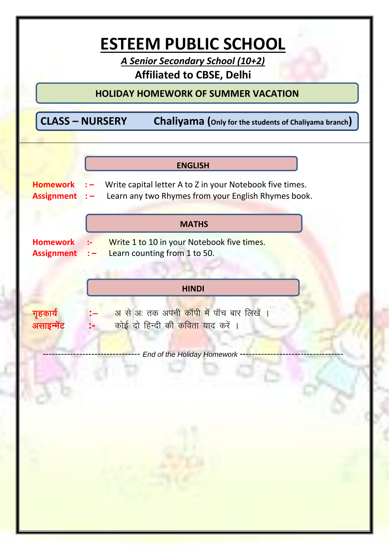